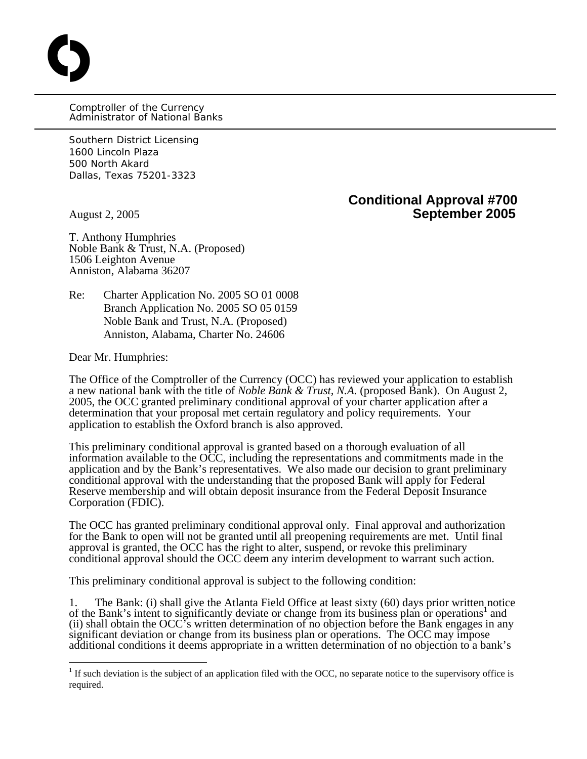Comptroller of the Currency Administrator of National Banks

Southern District Licensing 1600 Lincoln Plaza 500 North Akard Dallas, Texas 75201-3323

O

**Conditional Approval #700**  August 2, 2005 **September 2005**

T. Anthony Humphries Noble Bank & Trust, N.A. (Proposed) 1506 Leighton Avenue Anniston, Alabama 36207

Re: Charter Application No. 2005 SO 01 0008 Branch Application No. 2005 SO 05 0159 Noble Bank and Trust, N.A. (Proposed) Anniston, Alabama, Charter No. 24606

Dear Mr. Humphries:

1

The Office of the Comptroller of the Currency (OCC) has reviewed your application to establish a new national bank with the title of *Noble Bank & Trust, N.A.* (proposed Bank). On August 2, 2005, the OCC granted preliminary conditional approval of your charter application after a determination that your proposal met certain regulatory and policy requirements. Your application to establish the Oxford branch is also approved.

This preliminary conditional approval is granted based on a thorough evaluation of all information available to the OCC, including the representations and commitments made in the application and by the Bank's representatives. We also made our decision to grant preliminary conditional approval with the understanding that the proposed Bank will apply for Federal Reserve membership and will obtain deposit insurance from the Federal Deposit Insurance Corporation (FDIC).

The OCC has granted preliminary conditional approval only. Final approval and authorization for the Bank to open will not be granted until all preopening requirements are met. Until final approval is granted, the OCC has the right to alter, suspend, or revoke this preliminary conditional approval should the OCC deem any interim development to warrant such action.

This preliminary conditional approval is subject to the following condition:

1. The Bank: (i) shall give the Atlanta Field Office at least sixty (60) days prior written notice ofthe Bank's intent to significantly deviate or change from its business plan or operations<sup>1</sup> and (ii) shall obtain the OCC's written determination of no objection before the Bank engages in any significant deviation or change from its business plan or operations. The OCC may impose additional conditions it deems appropriate in a written determination of no objection to a bank's

<span id="page-0-0"></span> $<sup>1</sup>$  If such deviation is the subject of an application filed with the OCC, no separate notice to the supervisory office is</sup> required.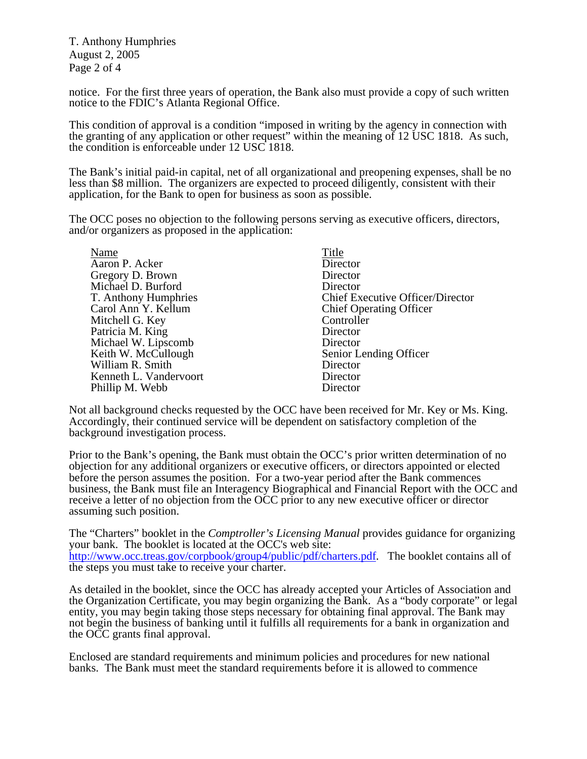T. Anthony Humphries August 2, 2005 Page 2 of 4

notice. For the first three years of operation, the Bank also must provide a copy of such written notice to the FDIC's Atlanta Regional Office.

This condition of approval is a condition "imposed in writing by the agency in connection with the granting of any application or other request" within the meaning of 12 USC 1818. As such, the condition is enforceable under 12 USC 1818.

The Bank's initial paid-in capital, net of all organizational and preopening expenses, shall be no less than \$8 million. The organizers are expected to proceed diligently, consistent with their application, for the Bank to open for business as soon as possible.

The OCC poses no objection to the following persons serving as executive officers, directors, and/or organizers as proposed in the application:

| Name                   | Title                            |
|------------------------|----------------------------------|
| Aaron P. Acker         | Director                         |
| Gregory D. Brown       | Director                         |
| Michael D. Burford     | Director                         |
| T. Anthony Humphries   | Chief Executive Officer/Director |
| Carol Ann Y. Kellum    | <b>Chief Operating Officer</b>   |
| Mitchell G. Key        | Controller                       |
| Patricia M. King       | Director                         |
| Michael W. Lipscomb    | Director                         |
| Keith W. McCullough    | Senior Lending Officer           |
| William R. Smith       | Director                         |
| Kenneth L. Vandervoort | Director                         |
| Phillip M. Webb        | Director                         |

Not all background checks requested by the OCC have been received for Mr. Key or Ms. King. Accordingly, their continued service will be dependent on satisfactory completion of the background investigation process.

Prior to the Bank's opening, the Bank must obtain the OCC's prior written determination of no objection for any additional organizers or executive officers, or directors appointed or elected before the person assumes the position. For a two-year period after the Bank commences business, the Bank must file an Interagency Biographical and Financial Report with the OCC and receive a letter of no objection from the OCC prior to any new executive officer or director assuming such position.

The "Charters" booklet in the *Comptroller's Licensing Manual* provides guidance for organizing your bank. The booklet is located at the OCC's web site: <http://www.occ.treas.gov/corpbook/group4/public/pdf/charters.pdf>. The booklet contains all of the steps you must take to receive your charter.

As detailed in the booklet, since the OCC has already accepted your Articles of Association and the Organization Certificate, you may begin organizing the Bank. As a "body corporate" or legal entity, you may begin taking those steps necessary for obtaining final approval. The Bank may not begin the business of banking until it fulfills all requirements for a bank in organization and the OCC grants final approval.

Enclosed are standard requirements and minimum policies and procedures for new national banks. The Bank must meet the standard requirements before it is allowed to commence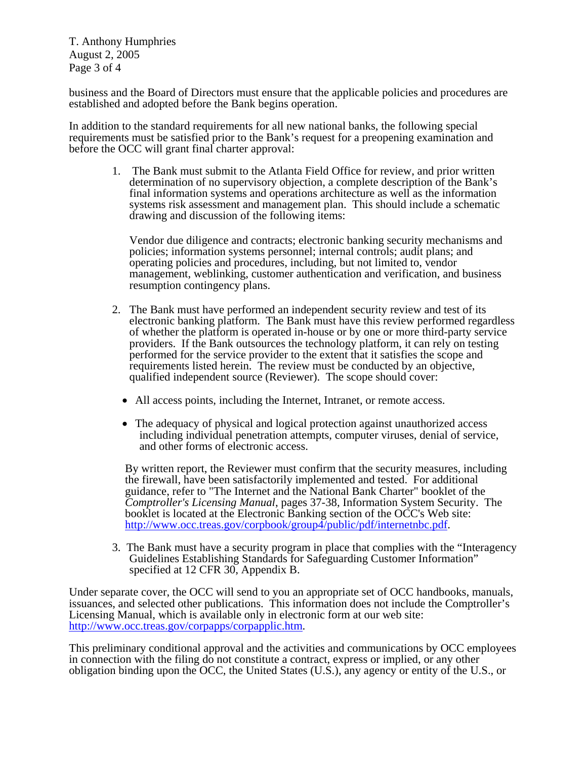T. Anthony Humphries August 2, 2005 Page 3 of 4

business and the Board of Directors must ensure that the applicable policies and procedures are established and adopted before the Bank begins operation.

In addition to the standard requirements for all new national banks, the following special requirements must be satisfied prior to the Bank's request for a preopening examination and before the OCC will grant final charter approval:

1. The Bank must submit to the Atlanta Field Office for review, and prior written determination of no supervisory objection, a complete description of the Bank's final information systems and operations architecture as well as the information systems risk assessment and management plan. This should include a schematic drawing and discussion of the following items:

Vendor due diligence and contracts; electronic banking security mechanisms and policies; information systems personnel; internal controls; audit plans; and operating policies and procedures, including, but not limited to, vendor management, weblinking, customer authentication and verification, and business resumption contingency plans.

- 2. The Bank must have performed an independent security review and test of its electronic banking platform. The Bank must have this review performed regardless of whether the platform is operated in-house or by one or more third-party service providers. If the Bank outsources the technology platform, it can rely on testing performed for the service provider to the extent that it satisfies the scope and requirements listed herein. The review must be conducted by an objective, qualified independent source (Reviewer). The scope should cover:
	- All access points, including the Internet, Intranet, or remote access.
	- The adequacy of physical and logical protection against unauthorized access including individual penetration attempts, computer viruses, denial of service, and other forms of electronic access.

 By written report, the Reviewer must confirm that the security measures, including the firewall, have been satisfactorily implemented and tested. For additional guidance, refer to "The Internet and the National Bank Charter" booklet of the *Comptroller's Licensing Manual*, pages 37-38, Information System Security. The booklet is located at the Electronic Banking section of the OCC's Web site: [http://www.occ.treas.gov/corpbook/group4/public/pdf/internetnbc.pdf.](http://www.occ.treas.gov/corpbook/group4/public/pdf/internetnbc.pdf)

3. The Bank must have a security program in place that complies with the "Interagency Guidelines Establishing Standards for Safeguarding Customer Information" specified at 12 CFR 30, Appendix B.

Under separate cover, the OCC will send to you an appropriate set of OCC handbooks, manuals, issuances, and selected other publications. This information does not include the Comptroller's Licensing Manual, which is available only in electronic form at our web site: [http://www.occ.treas.gov/corpapps/corpapplic.htm.](http://www.occ.treas.gov/corpapps/corpapplic.htm)

This preliminary conditional approval and the activities and communications by OCC employees in connection with the filing do not constitute a contract, express or implied, or any other obligation binding upon the OCC, the United States (U.S.), any agency or entity of the U.S., or